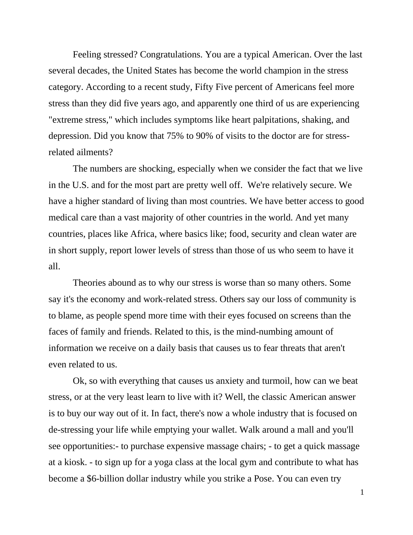Feeling stressed? Congratulations. You are a typical American. Over the last several decades, the United States has become the world champion in the stress category. According to a recent study, Fifty Five percent of Americans feel more stress than they did five years ago, and apparently one third of us are experiencing "extreme stress," which includes symptoms like heart palpitations, shaking, and depression. Did you know that 75% to 90% of visits to the doctor are for stressrelated ailments?

The numbers are shocking, especially when we consider the fact that we live in the U.S. and for the most part are pretty well off. We're relatively secure. We have a higher standard of living than most countries. We have better access to good medical care than a vast majority of other countries in the world. And yet many countries, places like Africa, where basics like; food, security and clean water are in short supply, report lower levels of stress than those of us who seem to have it all.

Theories abound as to why our stress is worse than so many others. Some say it's the economy and work-related stress. Others say our loss of community is to blame, as people spend more time with their eyes focused on screens than the faces of family and friends. Related to this, is the mind-numbing amount of information we receive on a daily basis that causes us to fear threats that aren't even related to us.

Ok, so with everything that causes us anxiety and turmoil, how can we beat stress, or at the very least learn to live with it? Well, the classic American answer is to buy our way out of it. In fact, there's now a whole industry that is focused on de-stressing your life while emptying your wallet. Walk around a mall and you'll see opportunities:- to purchase expensive massage chairs; - to get a quick massage at a kiosk. - to sign up for a yoga class at the local gym and contribute to what has become a \$6-billion dollar industry while you strike a Pose. You can even try

1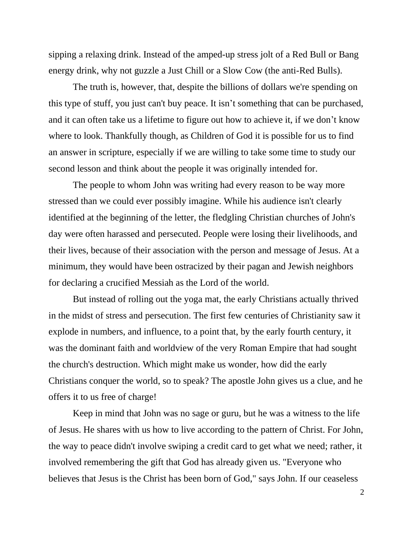sipping a relaxing drink. Instead of the amped-up stress jolt of a Red Bull or Bang energy drink, why not guzzle a Just Chill or a Slow Cow (the anti-Red Bulls).

The truth is, however, that, despite the billions of dollars we're spending on this type of stuff, you just can't buy peace. It isn't something that can be purchased, and it can often take us a lifetime to figure out how to achieve it, if we don't know where to look. Thankfully though, as Children of God it is possible for us to find an answer in scripture, especially if we are willing to take some time to study our second lesson and think about the people it was originally intended for.

The people to whom John was writing had every reason to be way more stressed than we could ever possibly imagine. While his audience isn't clearly identified at the beginning of the letter, the fledgling Christian churches of John's day were often harassed and persecuted. People were losing their livelihoods, and their lives, because of their association with the person and message of Jesus. At a minimum, they would have been ostracized by their pagan and Jewish neighbors for declaring a crucified Messiah as the Lord of the world.

But instead of rolling out the yoga mat, the early Christians actually thrived in the midst of stress and persecution. The first few centuries of Christianity saw it explode in numbers, and influence, to a point that, by the early fourth century, it was the dominant faith and worldview of the very Roman Empire that had sought the church's destruction. Which might make us wonder, how did the early Christians conquer the world, so to speak? The apostle John gives us a clue, and he offers it to us free of charge!

Keep in mind that John was no sage or guru, but he was a witness to the life of Jesus. He shares with us how to live according to the pattern of Christ. For John, the way to peace didn't involve swiping a credit card to get what we need; rather, it involved remembering the gift that God has already given us. "Everyone who believes that Jesus is the Christ has been born of God," says John. If our ceaseless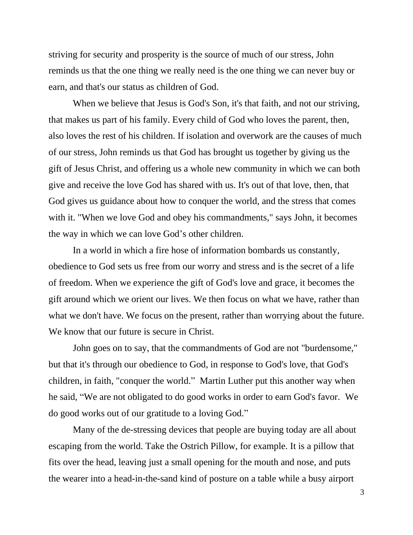striving for security and prosperity is the source of much of our stress, John reminds us that the one thing we really need is the one thing we can never buy or earn, and that's our status as children of God.

When we believe that Jesus is God's Son, it's that faith, and not our striving, that makes us part of his family. Every child of God who loves the parent, then, also loves the rest of his children. If isolation and overwork are the causes of much of our stress, John reminds us that God has brought us together by giving us the gift of Jesus Christ, and offering us a whole new community in which we can both give and receive the love God has shared with us. It's out of that love, then, that God gives us guidance about how to conquer the world, and the stress that comes with it. "When we love God and obey his commandments," says John, it becomes the way in which we can love God's other children.

In a world in which a fire hose of information bombards us constantly, obedience to God sets us free from our worry and stress and is the secret of a life of freedom. When we experience the gift of God's love and grace, it becomes the gift around which we orient our lives. We then focus on what we have, rather than what we don't have. We focus on the present, rather than worrying about the future. We know that our future is secure in Christ.

John goes on to say, that the commandments of God are not "burdensome," but that it's through our obedience to God, in response to God's love, that God's children, in faith, "conquer the world." Martin Luther put this another way when he said, "We are not obligated to do good works in order to earn God's favor. We do good works out of our gratitude to a loving God."

Many of the de-stressing devices that people are buying today are all about escaping from the world. Take the Ostrich Pillow, for example. It is a pillow that fits over the head, leaving just a small opening for the mouth and nose, and puts the wearer into a head-in-the-sand kind of posture on a table while a busy airport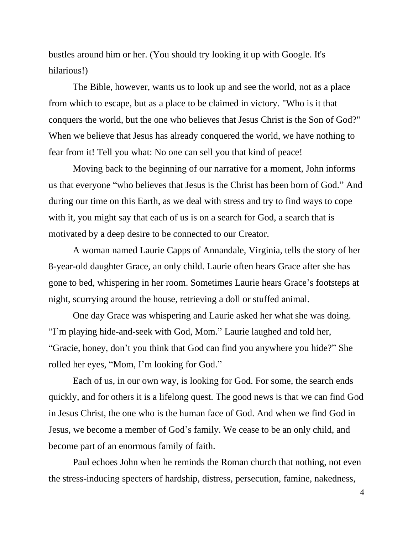bustles around him or her. (You should try looking it up with Google. It's hilarious!)

The Bible, however, wants us to look up and see the world, not as a place from which to escape, but as a place to be claimed in victory. "Who is it that conquers the world, but the one who believes that Jesus Christ is the Son of God?" When we believe that Jesus has already conquered the world, we have nothing to fear from it! Tell you what: No one can sell you that kind of peace!

Moving back to the beginning of our narrative for a moment, John informs us that everyone "who believes that Jesus is the Christ has been born of God." And during our time on this Earth, as we deal with stress and try to find ways to cope with it, you might say that each of us is on a search for God, a search that is motivated by a deep desire to be connected to our Creator.

A woman named Laurie Capps of Annandale, Virginia, tells the story of her 8-year-old daughter Grace, an only child. Laurie often hears Grace after she has gone to bed, whispering in her room. Sometimes Laurie hears Grace's footsteps at night, scurrying around the house, retrieving a doll or stuffed animal.

One day Grace was whispering and Laurie asked her what she was doing. "I'm playing hide-and-seek with God, Mom." Laurie laughed and told her, "Gracie, honey, don't you think that God can find you anywhere you hide?" She rolled her eyes, "Mom, I'm looking for God."

Each of us, in our own way, is looking for God. For some, the search ends quickly, and for others it is a lifelong quest. The good news is that we can find God in Jesus Christ, the one who is the human face of God. And when we find God in Jesus, we become a member of God's family. We cease to be an only child, and become part of an enormous family of faith.

Paul echoes John when he reminds the Roman church that nothing, not even the stress-inducing specters of hardship, distress, persecution, famine, nakedness,